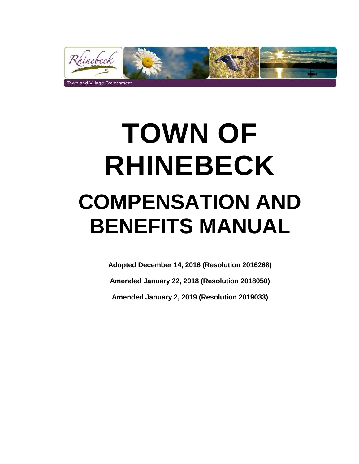

# **TOWN OF RHINEBECK COMPENSATION AND BENEFITS MANUAL**

**Adopted December 14, 2016 (Resolution 2016268)**

**Amended January 22, 2018 (Resolution 2018050)**

**Amended January 2, 2019 (Resolution 2019033)**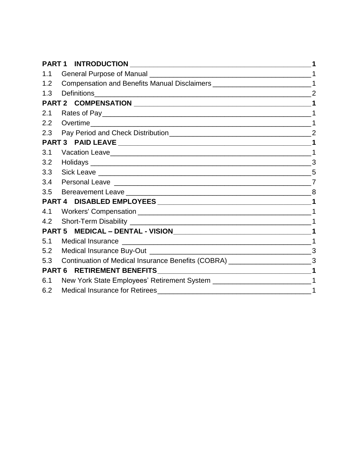|     | PART 1 INTRODUCTION __________________________                                                                   |                |
|-----|------------------------------------------------------------------------------------------------------------------|----------------|
| 1.1 |                                                                                                                  |                |
| 1.2 | Compensation and Benefits Manual Disclaimers __________________________________1                                 |                |
| 1.3 | Definitions                                                                                                      |                |
|     |                                                                                                                  |                |
| 2.1 |                                                                                                                  |                |
| 2.2 |                                                                                                                  |                |
|     |                                                                                                                  | $\overline{2}$ |
|     |                                                                                                                  |                |
| 3.1 |                                                                                                                  |                |
| 3.2 |                                                                                                                  | 3              |
| 3.3 |                                                                                                                  | 5              |
| 3.4 |                                                                                                                  |                |
| 3.5 |                                                                                                                  |                |
|     |                                                                                                                  |                |
| 4.1 |                                                                                                                  |                |
| 4.2 |                                                                                                                  |                |
|     |                                                                                                                  |                |
| 5.1 |                                                                                                                  |                |
| 5.2 |                                                                                                                  | 3              |
| 5.3 | Continuation of Medical Insurance Benefits (COBRA) _____________________________3                                |                |
|     | <b>PART 6</b><br><b>RETIREMENT BENEFITS</b><br><u> 1980 - Johann John Stone, mars eta biztanleria (h. 1980).</u> |                |
| 6.1 |                                                                                                                  |                |
| 6.2 | <b>Medical Insurance for Retirees</b>                                                                            |                |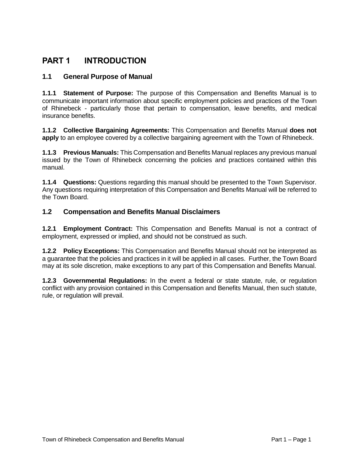# **PART 1 INTRODUCTION**

#### **1.1 General Purpose of Manual**

**1.1.1 Statement of Purpose:** The purpose of this Compensation and Benefits Manual is to communicate important information about specific employment policies and practices of the Town of Rhinebeck - particularly those that pertain to compensation, leave benefits, and medical insurance benefits.

**1.1.2 Collective Bargaining Agreements:** This Compensation and Benefits Manual **does not apply** to an employee covered by a collective bargaining agreement with the Town of Rhinebeck.

**1.1.3 Previous Manuals:** This Compensation and Benefits Manual replaces any previous manual issued by the Town of Rhinebeck concerning the policies and practices contained within this manual.

**1.1.4 Questions:** Questions regarding this manual should be presented to the Town Supervisor. Any questions requiring interpretation of this Compensation and Benefits Manual will be referred to the Town Board.

#### **1.2 Compensation and Benefits Manual Disclaimers**

**1.2.1 Employment Contract:** This Compensation and Benefits Manual is not a contract of employment, expressed or implied, and should not be construed as such.

**1.2.2 Policy Exceptions:** This Compensation and Benefits Manual should not be interpreted as a guarantee that the policies and practices in it will be applied in all cases. Further, the Town Board may at its sole discretion, make exceptions to any part of this Compensation and Benefits Manual.

**1.2.3 Governmental Regulations:** In the event a federal or state statute, rule, or regulation conflict with any provision contained in this Compensation and Benefits Manual, then such statute, rule, or regulation will prevail.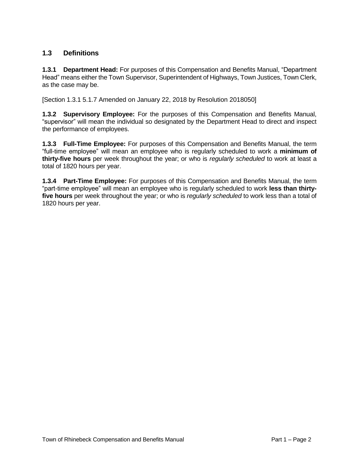#### **1.3 Definitions**

**1.3.1 Department Head:** For purposes of this Compensation and Benefits Manual, "Department Head" means either the Town Supervisor, Superintendent of Highways, Town Justices, Town Clerk, as the case may be.

[Section 1.3.1 5.1.7 Amended on January 22, 2018 by Resolution 2018050]

**1.3.2 Supervisory Employee:** For the purposes of this Compensation and Benefits Manual, "supervisor" will mean the individual so designated by the Department Head to direct and inspect the performance of employees.

**1.3.3 Full-Time Employee:** For purposes of this Compensation and Benefits Manual, the term "full-time employee" will mean an employee who is regularly scheduled to work a **minimum of thirty-five hours** per week throughout the year; or who is *regularly scheduled* to work at least a total of 1820 hours per year.

**1.3.4 Part-Time Employee:** For purposes of this Compensation and Benefits Manual, the term "part-time employee" will mean an employee who is regularly scheduled to work **less than thirtyfive hours** per week throughout the year; or who is *regularly scheduled* to work less than a total of 1820 hours per year.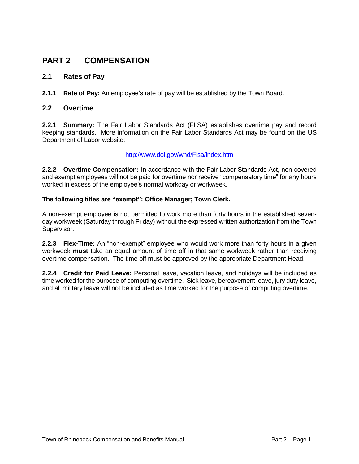# **PART 2 COMPENSATION**

#### **2.1 Rates of Pay**

**2.1.1 Rate of Pay:** An employee's rate of pay will be established by the Town Board.

#### **2.2 Overtime**

**2.2.1 Summary:** The Fair Labor Standards Act (FLSA) establishes overtime pay and record keeping standards. More information on the Fair Labor Standards Act may be found on the US Department of Labor website:

#### <http://www.dol.gov/whd/Flsa/index.htm>

**2.2.2 Overtime Compensation:** In accordance with the Fair Labor Standards Act, non-covered and exempt employees will not be paid for overtime nor receive "compensatory time" for any hours worked in excess of the employee's normal workday or workweek.

#### **The following titles are "exempt": Office Manager; Town Clerk.**

A non-exempt employee is not permitted to work more than forty hours in the established sevenday workweek (Saturday through Friday) without the expressed written authorization from the Town Supervisor.

**2.2.3 Flex-Time:** An "non-exempt" employee who would work more than forty hours in a given workweek **must** take an equal amount of time off in that same workweek rather than receiving overtime compensation. The time off must be approved by the appropriate Department Head.

**2.2.4 Credit for Paid Leave:** Personal leave, vacation leave, and holidays will be included as time worked for the purpose of computing overtime. Sick leave, bereavement leave, jury duty leave, and all military leave will not be included as time worked for the purpose of computing overtime.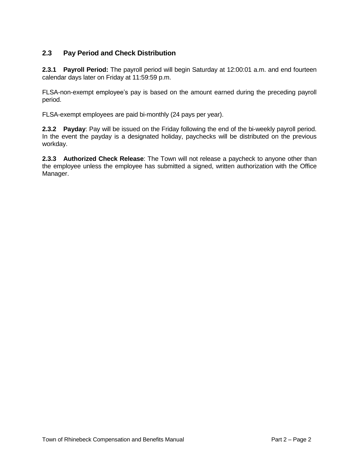#### **2.3 Pay Period and Check Distribution**

**2.3.1 Payroll Period:** The payroll period will begin Saturday at 12:00:01 a.m. and end fourteen calendar days later on Friday at 11:59:59 p.m.

FLSA-non-exempt employee's pay is based on the amount earned during the preceding payroll period.

FLSA-exempt employees are paid bi-monthly (24 pays per year).

**2.3.2 Payday**: Pay will be issued on the Friday following the end of the bi-weekly payroll period. In the event the payday is a designated holiday, paychecks will be distributed on the previous workday.

**2.3.3 Authorized Check Release**: The Town will not release a paycheck to anyone other than the employee unless the employee has submitted a signed, written authorization with the Office Manager.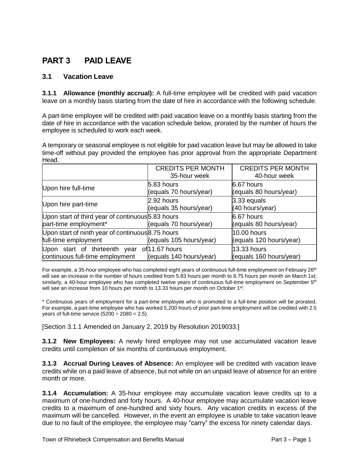# **PART 3 PAID LEAVE**

#### **3.1 Vacation Leave**

**3.1.1 Allowance (monthly accrual):** A full-time employee will be credited with paid vacation leave on a monthly basis starting from the date of hire in accordance with the following schedule.

A part-time employee will be credited with paid vacation leave on a monthly basis starting from the date of hire in accordance with the vacation schedule below, prorated by the number of hours the employee is scheduled to work each week.

A temporary or seasonal employee is not eligible for paid vacation leave but may be allowed to take time-off without pay provided the employee has prior approval from the appropriate Department Head.

|                                                                                 | <b>CREDITS PER MONTH</b><br>35-hour week | <b>CREDITS PER MONTH</b><br>40-hour week |
|---------------------------------------------------------------------------------|------------------------------------------|------------------------------------------|
| Upon hire full-time                                                             | 5.83 hours<br>(equals 70 hours/year)     | 6.67 hours<br>(equals 80 hours/year)     |
| Upon hire part-time                                                             | 2.92 hours<br>(equals 35 hours/year)     | $3.33$ equals<br>(40 hours/year)         |
| Upon start of third year of continuous 5.83 hours<br>part-time employment*      | (equals 70 hours/year)                   | 6.67 hours<br>(equals 80 hours/year)     |
| Upon start of ninth year of continuous 8.75 hours<br>full-time employment       | (equals 105 hours/year)                  | 10.00 hours<br>(equals 120 hours/year)   |
| Upon start of thirteenth year of 11.67 hours<br>continuous full-time employment | (equals 140 hours/year)                  | 13.33 hours<br>(equals 160 hours/year)   |

For example, a 35-hour employee who has completed eight years of continuous full-time employment on February 26<sup>th</sup> will see an increase in the number of hours credited from 5.83 hours per month to 8.75 hours per month on March 1st; similarly, a 40-hour employee who has completed twelve years of continuous full-time employment on September 5<sup>th</sup> will see an increase from 10 hours per month to 13.33 hours per month on October 1<sup>st</sup>.

\* Continuous years of employment for a part-time employee who is promoted to a full-time position will be prorated. For example, a part-time employee who has worked 5,200 hours of prior part-time employment will be credited with 2.5 years of full-time service  $(5200 \div 2080 = 2.5)$ .

[Section 3.1.1 Amended on January 2, 2019 by Resolution 2019033.]

**3.1.2 New Employees:** A newly hired employee may not use accumulated vacation leave credits until completion of six months of continuous employment.

**3.1.3 Accrual During Leaves of Absence:** An employee will be credited with vacation leave credits while on a paid leave of absence, but not while on an unpaid leave of absence for an entire month or more.

**3.1.4 Accumulation:** A 35-hour employee may accumulate vacation leave credits up to a maximum of one-hundred and forty hours. A 40-hour employee may accumulate vacation leave credits to a maximum of one-hundred and sixty hours. Any vacation credits in excess of the maximum will be cancelled. However, in the event an employee is unable to take vacation leave due to no fault of the employee, the employee may "carry" the excess for ninety calendar days.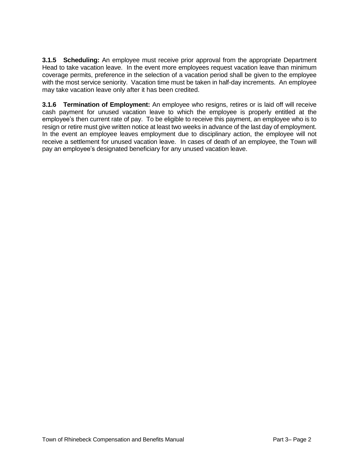**3.1.5 Scheduling:** An employee must receive prior approval from the appropriate Department Head to take vacation leave. In the event more employees request vacation leave than minimum coverage permits, preference in the selection of a vacation period shall be given to the employee with the most service seniority. Vacation time must be taken in half-day increments. An employee may take vacation leave only after it has been credited.

**3.1.6 Termination of Employment:** An employee who resigns, retires or is laid off will receive cash payment for unused vacation leave to which the employee is properly entitled at the employee's then current rate of pay. To be eligible to receive this payment, an employee who is to resign or retire must give written notice at least two weeks in advance of the last day of employment. In the event an employee leaves employment due to disciplinary action, the employee will not receive a settlement for unused vacation leave. In cases of death of an employee, the Town will pay an employee's designated beneficiary for any unused vacation leave.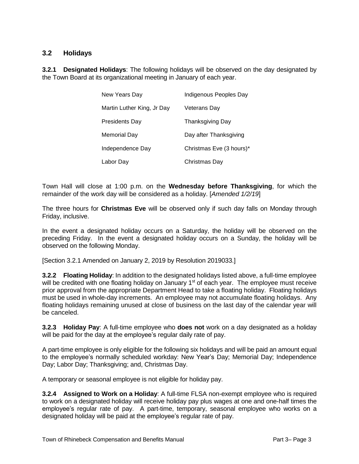#### **3.2 Holidays**

**3.2.1 Designated Holidays**: The following holidays will be observed on the day designated by the Town Board at its organizational meeting in January of each year.

| New Years Day              | Indigenous Peoples Day   |  |
|----------------------------|--------------------------|--|
| Martin Luther King, Jr Day | Veterans Dav             |  |
| <b>Presidents Day</b>      | <b>Thanksgiving Day</b>  |  |
| <b>Memorial Day</b>        | Day after Thanksgiving   |  |
| Independence Dav           | Christmas Eve (3 hours)* |  |
| Labor Dav                  | Christmas Day            |  |

Town Hall will close at 1:00 p.m. on the **Wednesday before Thanksgiving**, for which the remainder of the work day will be considered as a holiday. [*Amended 1/2/19*]

The three hours for **Christmas Eve** will be observed only if such day falls on Monday through Friday, inclusive.

In the event a designated holiday occurs on a Saturday, the holiday will be observed on the preceding Friday. In the event a designated holiday occurs on a Sunday, the holiday will be observed on the following Monday.

[Section 3.2.1 Amended on January 2, 2019 by Resolution 2019033.]

**3.2.2 Floating Holiday**: In addition to the designated holidays listed above, a full-time employee will be credited with one floating holiday on January 1<sup>st</sup> of each year. The employee must receive prior approval from the appropriate Department Head to take a floating holiday. Floating holidays must be used in whole-day increments. An employee may not accumulate floating holidays. Any floating holidays remaining unused at close of business on the last day of the calendar year will be canceled.

**3.2.3 Holiday Pay**: A full-time employee who **does not** work on a day designated as a holiday will be paid for the day at the employee's regular daily rate of pay.

A part-time employee is only eligible for the following six holidays and will be paid an amount equal to the employee's normally scheduled workday: New Year's Day; Memorial Day; Independence Day; Labor Day; Thanksgiving; and, Christmas Day.

A temporary or seasonal employee is not eligible for holiday pay.

**3.2.4 Assigned to Work on a Holiday**: A full-time FLSA non-exempt employee who is required to work on a designated holiday will receive holiday pay plus wages at one and one-half times the employee's regular rate of pay. A part-time, temporary, seasonal employee who works on a designated holiday will be paid at the employee's regular rate of pay.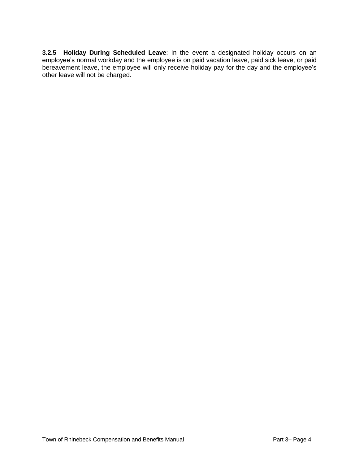**3.2.5 Holiday During Scheduled Leave**: In the event a designated holiday occurs on an employee's normal workday and the employee is on paid vacation leave, paid sick leave, or paid bereavement leave, the employee will only receive holiday pay for the day and the employee's other leave will not be charged.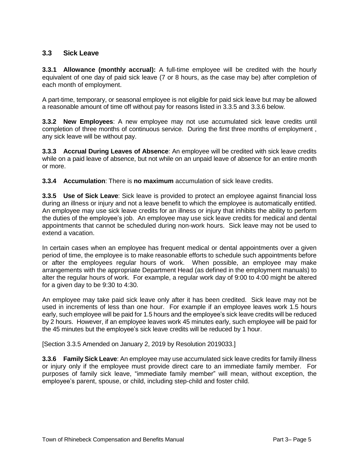#### **3.3 Sick Leave**

**3.3.1 Allowance (monthly accrual):** A full-time employee will be credited with the hourly equivalent of one day of paid sick leave (7 or 8 hours, as the case may be) after completion of each month of employment.

A part-time, temporary, or seasonal employee is not eligible for paid sick leave but may be allowed a reasonable amount of time off without pay for reasons listed in 3.3.5 and 3.3.6 below.

**3.3.2 New Employees**: A new employee may not use accumulated sick leave credits until completion of three months of continuous service. During the first three months of employment , any sick leave will be without pay.

**3.3.3 Accrual During Leaves of Absence**: An employee will be credited with sick leave credits while on a paid leave of absence, but not while on an unpaid leave of absence for an entire month or more.

**3.3.4 Accumulation**: There is **no maximum** accumulation of sick leave credits.

**3.3.5 Use of Sick Leave**: Sick leave is provided to protect an employee against financial loss during an illness or injury and not a leave benefit to which the employee is automatically entitled. An employee may use sick leave credits for an illness or injury that inhibits the ability to perform the duties of the employee's job. An employee may use sick leave credits for medical and dental appointments that cannot be scheduled during non-work hours. Sick leave may not be used to extend a vacation.

In certain cases when an employee has frequent medical or dental appointments over a given period of time, the employee is to make reasonable efforts to schedule such appointments before or after the employees regular hours of work. When possible, an employee may make arrangements with the appropriate Department Head (as defined in the employment manuals) to alter the regular hours of work. For example, a regular work day of 9:00 to 4:00 might be altered for a given day to be 9:30 to 4:30.

An employee may take paid sick leave only after it has been credited. Sick leave may not be used in increments of less than one hour. For example if an employee leaves work 1.5 hours early, such employee will be paid for 1.5 hours and the employee's sick leave credits will be reduced by 2 hours. However, if an employee leaves work 45 minutes early, such employee will be paid for the 45 minutes but the employee's sick leave credits will be reduced by 1 hour.

[Section 3.3.5 Amended on January 2, 2019 by Resolution 2019033.]

**3.3.6 Family Sick Leave**: An employee may use accumulated sick leave credits for family illness or injury only if the employee must provide direct care to an immediate family member. For purposes of family sick leave, "immediate family member" will mean, without exception, the employee's parent, spouse, or child, including step-child and foster child.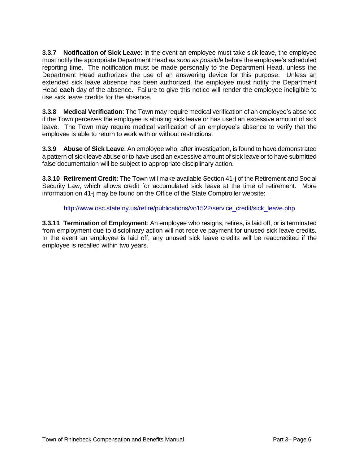**3.3.7 Notification of Sick Leave**: In the event an employee must take sick leave, the employee must notify the appropriate Department Head *as soon as possible* before the employee's scheduled reporting time. The notification must be made personally to the Department Head, unless the Department Head authorizes the use of an answering device for this purpose. Unless an extended sick leave absence has been authorized, the employee must notify the Department Head **each** day of the absence. Failure to give this notice will render the employee ineligible to use sick leave credits for the absence.

**3.3.8 Medical Verification**: The Town may require medical verification of an employee's absence if the Town perceives the employee is abusing sick leave or has used an excessive amount of sick leave. The Town may require medical verification of an employee's absence to verify that the employee is able to return to work with or without restrictions.

**3.3.9 Abuse of Sick Leave**: An employee who, after investigation, is found to have demonstrated a pattern of sick leave abuse or to have used an excessive amount of sick leave or to have submitted false documentation will be subject to appropriate disciplinary action.

**3.3.10 Retirement Credit:** The Town will make available Section 41-j of the Retirement and Social Security Law, which allows credit for accumulated sick leave at the time of retirement. More information on 41-j may be found on the Office of the State Comptroller website:

#### [http://www.osc.state.ny.us/retire/publications/vo1522/service\\_credit/sick\\_leave.php](http://www.osc.state.ny.us/retire/publications/vo1522/service_credit/sick_leave.php)

**3.3.11 Termination of Employment**: An employee who resigns, retires, is laid off, or is terminated from employment due to disciplinary action will not receive payment for unused sick leave credits. In the event an employee is laid off, any unused sick leave credits will be reaccredited if the employee is recalled within two years.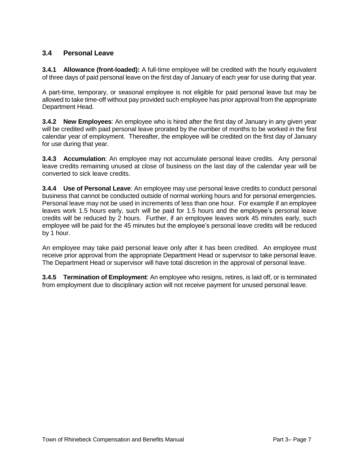#### **3.4 Personal Leave**

**3.4.1 Allowance (front-loaded):** A full-time employee will be credited with the hourly equivalent of three days of paid personal leave on the first day of January of each year for use during that year.

A part-time, temporary, or seasonal employee is not eligible for paid personal leave but may be allowed to take time-off without pay provided such employee has prior approval from the appropriate Department Head.

**3.4.2 New Employees**: An employee who is hired after the first day of January in any given year will be credited with paid personal leave prorated by the number of months to be worked in the first calendar year of employment. Thereafter, the employee will be credited on the first day of January for use during that year.

**3.4.3 Accumulation**: An employee may not accumulate personal leave credits. Any personal leave credits remaining unused at close of business on the last day of the calendar year will be converted to sick leave credits.

**3.4.4 Use of Personal Leave**: An employee may use personal leave credits to conduct personal business that cannot be conducted outside of normal working hours and for personal emergencies. Personal leave may not be used in increments of less than one hour. For example if an employee leaves work 1.5 hours early, such will be paid for 1.5 hours and the employee's personal leave credits will be reduced by 2 hours. Further, if an employee leaves work 45 minutes early, such employee will be paid for the 45 minutes but the employee's personal leave credits will be reduced by 1 hour.

An employee may take paid personal leave only after it has been credited. An employee must receive prior approval from the appropriate Department Head or supervisor to take personal leave. The Department Head or supervisor will have total discretion in the approval of personal leave.

**3.4.5 Termination of Employment**: An employee who resigns, retires, is laid off, or is terminated from employment due to disciplinary action will not receive payment for unused personal leave.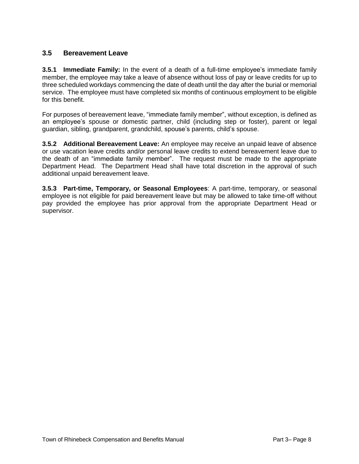#### **3.5 Bereavement Leave**

**3.5.1 Immediate Family:** In the event of a death of a full-time employee's immediate family member, the employee may take a leave of absence without loss of pay or leave credits for up to three scheduled workdays commencing the date of death until the day after the burial or memorial service. The employee must have completed six months of continuous employment to be eligible for this benefit.

For purposes of bereavement leave, "immediate family member", without exception, is defined as an employee's spouse or domestic partner, child (including step or foster), parent or legal guardian, sibling, grandparent, grandchild, spouse's parents, child's spouse.

**3.5.2 Additional Bereavement Leave:** An employee may receive an unpaid leave of absence or use vacation leave credits and/or personal leave credits to extend bereavement leave due to the death of an "immediate family member". The request must be made to the appropriate Department Head. The Department Head shall have total discretion in the approval of such additional unpaid bereavement leave.

**3.5.3 Part-time, Temporary, or Seasonal Employees**: A part-time, temporary, or seasonal employee is not eligible for paid bereavement leave but may be allowed to take time-off without pay provided the employee has prior approval from the appropriate Department Head or supervisor.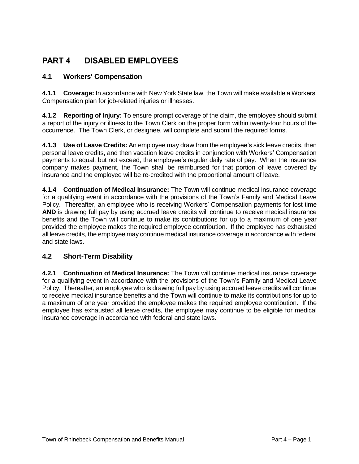# **PART 4 DISABLED EMPLOYEES**

#### **4.1 Workers' Compensation**

**4.1.1 Coverage:** In accordance with New York State law, the Town will make available a Workers' Compensation plan for job-related injuries or illnesses.

**4.1.2 Reporting of Injury:** To ensure prompt coverage of the claim, the employee should submit a report of the injury or illness to the Town Clerk on the proper form within twenty-four hours of the occurrence. The Town Clerk, or designee, will complete and submit the required forms.

**4.1.3 Use of Leave Credits:** An employee may draw from the employee's sick leave credits, then personal leave credits, and then vacation leave credits in conjunction with Workers' Compensation payments to equal, but not exceed, the employee's regular daily rate of pay. When the insurance company makes payment, the Town shall be reimbursed for that portion of leave covered by insurance and the employee will be re-credited with the proportional amount of leave.

**4.1.4 Continuation of Medical Insurance:** The Town will continue medical insurance coverage for a qualifying event in accordance with the provisions of the Town's Family and Medical Leave Policy. Thereafter, an employee who is receiving Workers' Compensation payments for lost time AND is drawing full pay by using accrued leave credits will continue to receive medical insurance benefits and the Town will continue to make its contributions for up to a maximum of one year provided the employee makes the required employee contribution. If the employee has exhausted all leave credits, the employee may continue medical insurance coverage in accordance with federal and state laws.

#### **4.2 Short-Term Disability**

**4.2.1 Continuation of Medical Insurance:** The Town will continue medical insurance coverage for a qualifying event in accordance with the provisions of the Town's Family and Medical Leave Policy. Thereafter, an employee who is drawing full pay by using accrued leave credits will continue to receive medical insurance benefits and the Town will continue to make its contributions for up to a maximum of one year provided the employee makes the required employee contribution. If the employee has exhausted all leave credits, the employee may continue to be eligible for medical insurance coverage in accordance with federal and state laws.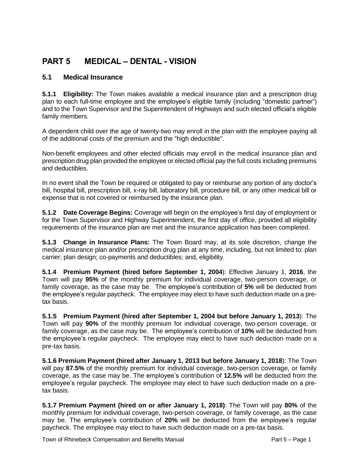# **PART 5 MEDICAL – DENTAL - VISION**

#### **5.1 Medical Insurance**

**5.1.1 Eligibility:** The Town makes available a medical insurance plan and a prescription drug plan to each full-time employee and the employee's eligible family (including "domestic partner") and to the Town Supervisor and the Superintendent of Highways and such elected official's eligible family members.

A dependent child over the age of twenty-two may enroll in the plan with the employee paying all of the additional costs of the premium and the "high deductible".

Non-benefit employees and other elected officials may enroll in the medical insurance plan and prescription drug plan provided the employee or elected official pay the full costs including premiums and deductibles.

In no event shall the Town be required or obligated to pay or reimburse any portion of any doctor's bill, hospital bill, prescription bill, x-ray bill, laboratory bill, procedure bill, or any other medical bill or expense that is not covered or reimbursed by the insurance plan.

**5.1.2 Date Coverage Begins:** Coverage will begin on the employee's first day of employment or for the Town Supervisor and Highway Superintendent, the first day of office, provided all eligibility requirements of the insurance plan are met and the insurance application has been completed.

**5.1.3 Change in Insurance Plans:** The Town Board may, at its sole discretion, change the medical insurance plan and/or prescription drug plan at any time, including, but not limited to: plan carrier; plan design; co-payments and deductibles; and, eligibility.

**5.1.4 Premium Payment (hired before September 1, 2004**): Effective January 1, **2016**, the Town will pay **95%** of the monthly premium for individual coverage, two-person coverage, or family coverage, as the case may be. The employee's contribution of **5%** will be deducted from the employee's regular paycheck. The employee may elect to have such deduction made on a pretax basis.

**5.1.5 Premium Payment (hired after September 1, 2004 but before January 1, 2013**): The Town will pay **90%** of the monthly premium for individual coverage, two-person coverage, or family coverage, as the case may be. The employee's contribution of **10%** will be deducted from the employee's regular paycheck. The employee may elect to have such deduction made on a pre-tax basis.

**5.1.6 Premium Payment (hired after January 1, 2013 but before January 1, 2018**): The Town will pay **87.5%** of the monthly premium for individual coverage, two-person coverage, or family coverage, as the case may be. The employee's contribution of **12.5%** will be deducted from the employee's regular paycheck. The employee may elect to have such deduction made on a pretax basis.

**5.1.7 Premium Payment (hired on or after January 1, 2018)**: The Town will pay **80%** of the monthly premium for individual coverage, two-person coverage, or family coverage, as the case may be. The employee's contribution of **20%** will be deducted from the employee's regular paycheck. The employee may elect to have such deduction made on a pre-tax basis.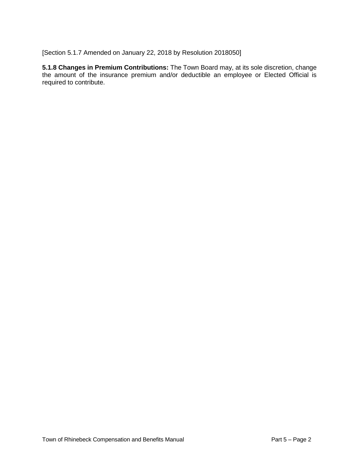[Section 5.1.7 Amended on January 22, 2018 by Resolution 2018050]

**5.1.8 Changes in Premium Contributions:** The Town Board may, at its sole discretion, change the amount of the insurance premium and/or deductible an employee or Elected Official is required to contribute.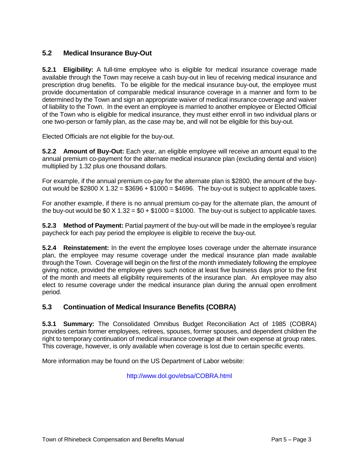#### **5.2 Medical Insurance Buy-Out**

**5.2.1 Eligibility:** A full-time employee who is eligible for medical insurance coverage made available through the Town may receive a cash buy-out in lieu of receiving medical insurance and prescription drug benefits. To be eligible for the medical insurance buy-out, the employee must provide documentation of comparable medical insurance coverage in a manner and form to be determined by the Town and sign an appropriate waiver of medical insurance coverage and waiver of liability to the Town. In the event an employee is married to another employee or Elected Official of the Town who is eligible for medical insurance, they must either enroll in two individual plans or one two-person or family plan, as the case may be, and will not be eligible for this buy-out.

Elected Officials are not eligible for the buy-out.

**5.2.2 Amount of Buy-Out:** Each year, an eligible employee will receive an amount equal to the annual premium co-payment for the alternate medical insurance plan (excluding dental and vision) multiplied by 1.32 plus one thousand dollars.

For example, if the annual premium co-pay for the alternate plan is \$2800, the amount of the buyout would be  $$2800 \times 1.32 = $3696 + $1000 = $4696$ . The buy-out is subject to applicable taxes.

For another example, if there is no annual premium co-pay for the alternate plan, the amount of the buy-out would be  $$0 \times 1.32 = $0 + $1000 = $1000$ . The buy-out is subject to applicable taxes.

**5.2.3 Method of Payment:** Partial payment of the buy-out will be made in the employee's regular paycheck for each pay period the employee is eligible to receive the buy-out.

**5.2.4 Reinstatement:** In the event the employee loses coverage under the alternate insurance plan, the employee may resume coverage under the medical insurance plan made available through the Town. Coverage will begin on the first of the month immediately following the employee giving notice, provided the employee gives such notice at least five business days prior to the first of the month and meets all eligibility requirements of the insurance plan. An employee may also elect to resume coverage under the medical insurance plan during the annual open enrollment period.

#### **5.3 Continuation of Medical Insurance Benefits (COBRA)**

**5.3.1 Summary:** The Consolidated Omnibus Budget Reconciliation Act of 1985 (COBRA) provides certain former employees, retirees, spouses, former spouses, and dependent children the right to temporary continuation of medical insurance coverage at their own expense at group rates. This coverage, however, is only available when coverage is lost due to certain specific events.

More information may be found on the US Department of Labor website:

<http://www.dol.gov/ebsa/COBRA.html>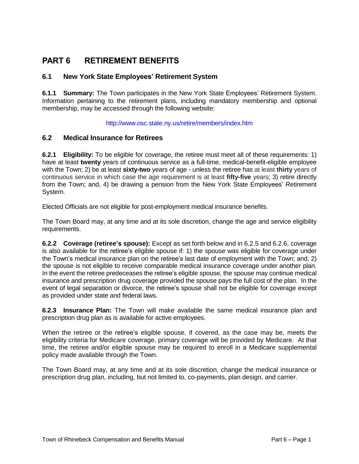## **PART 6 RETIREMENT BENEFITS**

#### **6.1 New York State Employees' Retirement System**

**6.1.1 Summary:** The Town participates in the New York State Employees' Retirement System. Information pertaining to the retirement plans, including mandatory membership and optional membership, may be accessed through the following website:

<http://www.osc.state.ny.us/retire/members/index.htm>

#### **6.2 Medical Insurance for Retirees**

**6.2.1 Eligibility:** To be eligible for coverage, the retiree must meet all of these requirements: 1) have at least **twenty** years of continuous service as a full-time, medical-benefit-eligible employee with the Town; 2) be at least **sixty-two** years of age - unless the retiree has at least **thirty** years of continuous service in which case the age requirement is at least **fifty-five** years; 3) retire directly from the Town; and, 4) be drawing a pension from the New York State Employees' Retirement System.

Elected Officials are not eligible for post-employment medical insurance benefits.

The Town Board may, at any time and at its sole discretion, change the age and service eligibility requirements.

**6.2.2 Coverage (retiree's spouse):** Except as set forth below and in 6.2.5 and 6.2.6, coverage is also available for the retiree's eligible spouse if: 1) the spouse was eligible for coverage under the Town's medical insurance plan on the retiree's last date of employment with the Town; and, 2) the spouse is not eligible to receive comparable medical insurance coverage under another plan. In the event the retiree predeceases the retiree's eligible spouse, the spouse may continue medical insurance and prescription drug coverage provided the spouse pays the full cost of the plan. In the event of legal separation or divorce, the retiree's spouse shall not be eligible for coverage except as provided under state and federal laws.

**6.2.3 Insurance Plan:** The Town will make available the same medical insurance plan and prescription drug plan as is available for active employees.

When the retiree or the retiree's eligible spouse, if covered, as the case may be, meets the eligibility criteria for Medicare coverage, primary coverage will be provided by Medicare. At that time, the retiree and/or eligible spouse may be required to enroll in a Medicare supplemental policy made available through the Town.

The Town Board may, at any time and at its sole discretion, change the medical insurance or prescription drug plan, including, but not limited to, co-payments, plan design, and carrier.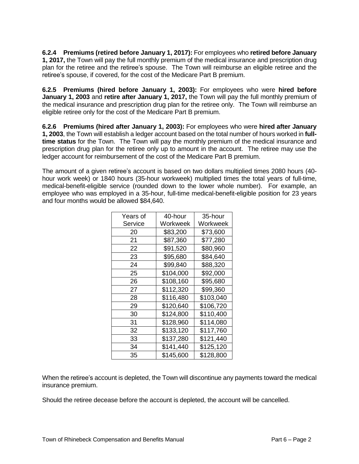**6.2.4 Premiums (retired before January 1, 2017):** For employees who **retired before January 1, 2017,** the Town will pay the full monthly premium of the medical insurance and prescription drug plan for the retiree and the retiree's spouse. The Town will reimburse an eligible retiree and the retiree's spouse, if covered, for the cost of the Medicare Part B premium.

**6.2.5 Premiums (hired before January 1, 2003):** For employees who were **hired before January 1, 2003** and **retire after January 1, 2017,** the Town will pay the full monthly premium of the medical insurance and prescription drug plan for the retiree only. The Town will reimburse an eligible retiree only for the cost of the Medicare Part B premium.

**6.2.6 Premiums (hired after January 1, 2003):** For employees who were **hired after January 1, 2003**, the Town will establish a ledger account based on the total number of hours worked in **fulltime status** for the Town. The Town will pay the monthly premium of the medical insurance and prescription drug plan for the retiree only up to amount in the account. The retiree may use the ledger account for reimbursement of the cost of the Medicare Part B premium.

The amount of a given retiree's account is based on two dollars multiplied times 2080 hours (40 hour work week) or 1840 hours (35-hour workweek) multiplied times the total years of full-time, medical-benefit-eligible service (rounded down to the lower whole number). For example, an employee who was employed in a 35-hour, full-time medical-benefit-eligible position for 23 years and four months would be allowed \$84,640.

| Years of | 40-hour   | 35-hour   |
|----------|-----------|-----------|
| Service  | Workweek  | Workweek  |
| 20       | \$83,200  | \$73,600  |
| 21       | \$87,360  | \$77,280  |
| 22       | \$91,520  | \$80,960  |
| 23       | \$95,680  | \$84,640  |
| 24       | \$99,840  | \$88,320  |
| 25       | \$104,000 | \$92,000  |
| 26       | \$108,160 | \$95,680  |
| 27       | \$112,320 | \$99,360  |
| 28       | \$116,480 | \$103,040 |
| 29       | \$120,640 | \$106,720 |
| 30       | \$124,800 | \$110,400 |
| 31       | \$128,960 | \$114,080 |
| 32       | \$133,120 | \$117,760 |
| 33       | \$137,280 | \$121,440 |
| 34       | \$141,440 | \$125,120 |
| 35       | \$145,600 | \$128,800 |

When the retiree's account is depleted, the Town will discontinue any payments toward the medical insurance premium.

Should the retiree decease before the account is depleted, the account will be cancelled.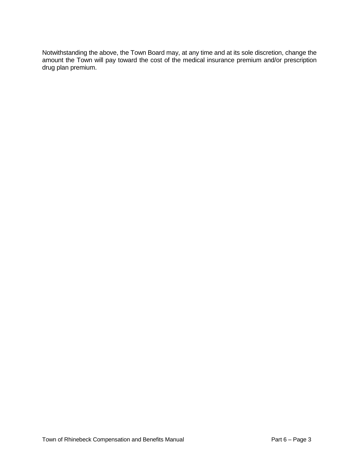Notwithstanding the above, the Town Board may, at any time and at its sole discretion, change the amount the Town will pay toward the cost of the medical insurance premium and/or prescription drug plan premium.